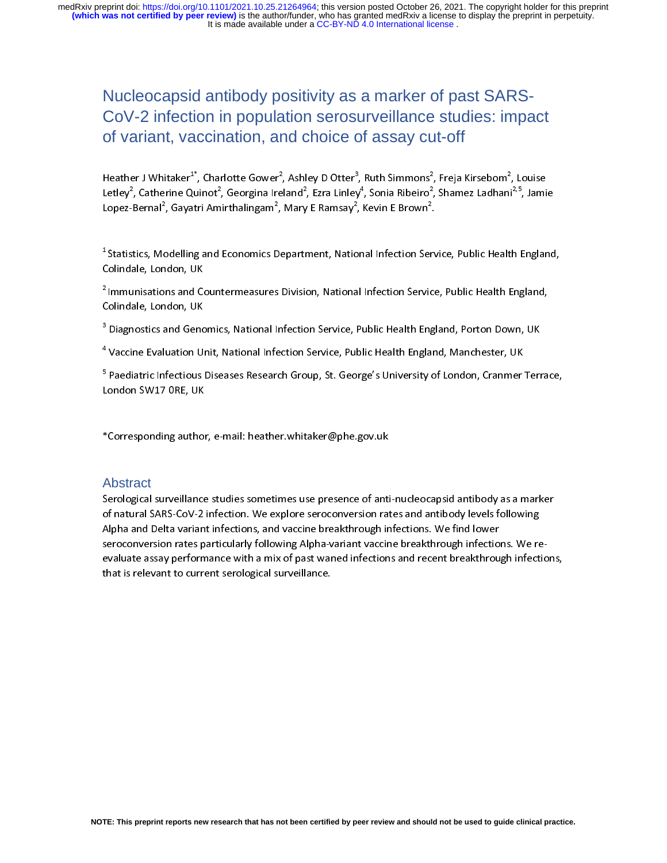# Nucleocapsid antibody positivity as a marker of past SARS-CoV-2 infection in population serosurveillance studies: impact of variant, vaccination, and choice of assay cut-off

|<br>|<br>|<br>| Heather J Whitaker\* , Charlotte Gower\*, Ashley D Otter\*, Ruth Simmons\*, Freja Kirsebom\*, Louise<br>Letley<sup>2</sup>, Catherine Quinot<sup>2</sup>, Georgina Ireland<sup>2</sup>, Ezra Linley<sup>4</sup>, Sonia Ribeiro<sup>2</sup>, Shamez Ladhani<sup>2,5</sup>, Jami<br>Lopez-Bernal<sup></sup>

Letley\*, Catherine Quinot\*, Georgina Ireland\*, Ezra Linley\*, Sonia Ribeiro\*<br>Lopez-Bernal<sup>2</sup>, Gayatri Amirthalingam<sup>2</sup>, Mary E Ramsay<sup>2</sup>, Kevin E Brown<sup>2</sup>.<br><sup>1</sup> Statistics, Modelling and Economics Department, National Infect , Shamez Ladhani<sup>25</sup>, Jamie<br>.<br>vice, Public Health England<br>.e, Public Health England, Lopez-Bernal<sup>2</sup><br><sup>1</sup> Statistics, Mc<br>Colindale, Lon<br><sup>2</sup> Immunisatio<br>Colindale, Lon , Gayatri Amirthalingam<br>2010 - Malling and Economics<br>2010 - Julian Countermeasures<br>2010 - Julian Countermeasures<br>2010 - Julian Countermeasures , Mary E Ramsay<br>Pepartment, National<br>20 Division, National<br>20 Pepartment , Kevin E Brown<br>-<br>Inal Infection Servic<br>-<br>- - - - - - - - - - - - - -.<br>.<br>. 1  $($  2  $($  3  $($ 

\* Statistics, Modelling and Economics Department, National Infection Service, Public Health England,<br>Colindale, London, UK<br><sup>2</sup> Immunisations and Countermeasures Division, National Infection Service, Public Health England,<br> <sup>2</sup> Immunisations and Colindale, London, UK<br>Colindale, London, UK<br><sup>3</sup> Diagnostics and Genc<br><sup>4</sup> Vaccine Evaluation UI

Ĭ

T,

"Immunisations and Countermeasures Division, National Infection Service, Public Health England,<br>Colindale, London, UK<br><sup>3</sup> Diagnostics and Genomics, National Infection Service, Public Health England, Porton Down, UK<br><sup>4</sup> Vac <sup>3</sup><br>Diagnostics and Genc<br><sup>4</sup> Vaccine Evaluation U<sub>1</sub><br><sup>5</sup> Paediatric Infectious<br>London SW17 ORE, UK Vaccine Evaluation Unit, National Infection Service, Public Health England, Manchester, UK<br>Paediatric Infectious Diseases Research Group, St. George's University of London, Cranmer Terron Orton SW17 ORE, UK<br>Corresponding a Paediatric Infectious Diseases Research Group, St. George's University of London, Cranmer<br>
Condon SW17 ORE, UK<br>
Corresponding author, e-mail: heather.whitaker@phe.gov.uk <sup>5</sup> Paediatric Infectious Diseases Research Group, St. George's University of London, Cranmer Terrace, Paediatric Infectious District Infectious Diseases Research Group, St. London, SW17 ORE, UK<br>Procession Group, St. George's London, St. George's University of London, Cranmer Terrace, Corresponding author, e-mail: heather.w

#### Abstract

,<br>Eorresponding author\*<br>Abstract<br>Serological surveillance\* ,<br>,<br>,<br>,<br>, \*Corresponding author, e-mail: heather.whitaker@phe.gov.uk of natural SARS-CoV-2 infection. We explore seroconversion rates and antibody levels following<br>Alpha and Delta variant infections, and vaccine breakthrough infections. We find lower<br>seroconversion rates particularly follow Alpha and Delta variant infections, and vaccine breakthrough infections. We find lower<br>seroconversion rates particularly following Alpha-variant vaccine breakthrough infections. We re<br>evaluate assay performance with a mix Alpha and Virginian and Seroconversion rates particularly following Alpha-variant vaccine breakthrough infections and variant vaccine breakthrough infections and recent breakthrough infections. That is relevant to current that is relevant to current serological surveillance.<br>
That is relevant to current serological surveillance. that is relevant to current serological surveillance.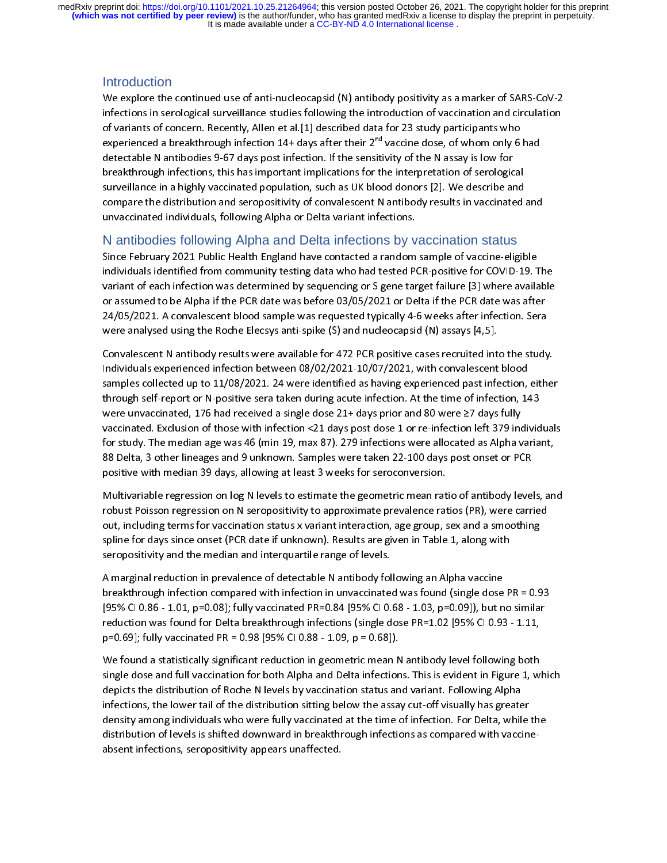It is made available under a CC-BY-ND 4.0 International license. medRxiv preprint doi: [https://doi.org/10.1101/2021.10.25.21264964;](https://doi.org/10.1101/2021.10.25.21264964) this version posted October 26, 2021. The copyright holder for this preprint<br>(which was not certified by peer review) is the author/funder, who has granted

#### **Introduction**

infections in serological surveillance studies following the introduction of vaccination and circulation<br>of variants of concern. Recently, Allen et al.[1] described data for 23 study participants who<br>experienced a breakth of variants of concern. Recently, Allen et al.[1] described data for 23 study participants who<br>experienced a breakthrough infection 14+ days after their 2<sup>nd</sup> vaccine dose, of whom only 6 had<br>detectable N antibodies 9-67 d experienced a breakthrough infection 14+ days after their 2<sup>nd</sup> vaccine dose, of whom only 6<br>detectable N antibodies 9-67 days post infection. If the sensitivity of the N assay is low for<br>breakthrough infections, this has experienced a breakthrough infection 14+ days after their 2<sup>nd</sup> vaccine dose, of whom only 6 had<br>detectable N antibodies 9-67 days post infection. If the sensitivity of the N assay is low for<br>breakthrough infections, this detections) infections, this has important implications for the interpretation of serologic<br>surveillance in a highly vaccinated population, such as UK blood donors [2]. We describe are<br>compare the distribution and seroposi breakthrough in a highly vaccinated population, such as UK blood donors [2]. We describe and<br>compare the distribution and seropositivity of convalescent N antibody results in vaccinated<br>unvaccinated individuals, following

#### N antibodies following Alpha and Delta infections by vaccination status

compare the distribution and seropositivity of convalescent N antibody results in vaccinated a<br>unvaccinated individuals, following Alpha or Delta variant infections.<br>N antibodies following Alpha and Delta infections by vac unvaccinated individuals, following Alpha or Delta variant infections.<br>
N antibodies following Alpha and Delta infections by vaccination status<br>
Since February 2021 Public Health England have contacted a random sample of v Mantibolies following Alpha and Delta infections by v<br>Since February 2021 Public Health England have contacted a random<br>individuals identified from community testing data who had tested P<br>variant of each infection was dete individuals identified from community testing data who had tested PCR-positive for COVID-19. T<br>variant of each infection was determined by sequencing or S gene target failure [3] where availa<br>or assumed to be Alpha if the individuals experienced infection between 08/02/2021-10/07/2021, with convales conflection, either the study community of assumed to be Alpha if the PCR date was before 03/05/2021 or Delta if the PCR date was after 24/05/2

or assumed to be Alpha if the PCR date was before 03/05/2021 or Delta if the PCR date was after<br>24/05/2021. A convalescent blood sample was requested typically 4-6 weeks after infection. Sera<br>were analysed using the Roche 24/05/2021. A convalescent blood sample was requested typically 4-6 weeks after infection. Sera<br>were analysed using the Roche Elecsys anti-spike (S) and nucleocapsid (N) assays [4,5].<br>Convalescent N antibody results were were analysed using the Roche Elecsys anti-spike (S) and nucleocapsid (N) assays [4,5].<br>Convalescent N antibody results were available for 472 PCR positive cases recruited into the study<br>Individuals experienced infection Convalescent N antibody results were available for 472 PCR positive cases recruited int<br>Individuals experienced infection between 08/02/2021-10/07/2021, with convalescent<br>samples collected up to 11/08/2021. 24 were identif Individuals experienced infection between 08/02/2021-10/07/2021, with convalescent blood<br>samples collected up to 11/08/2021. 24 were identified as having experienced past infection, either<br>through self-report or N-positive Samples collected up to 11/08/2021. 24 were identified as having experienced past infection, through self-report or N-positive sera taken during acute infection. At the time of infection, 14 were unvaccinated, 176 had rece through self-report or N-positive sera taken during acute infection. At the time of infection, 143<br>were unvaccinated, 176 had received a single dose 21+ days prior and 80 were  $\geq$ 7 days fully<br>vaccinated. Exclusion of tho were unvaccinated, 176 had received a single dose 21+ days prior and 80 were  $\geq$ 7 days fully vaccinated. Exclusion of those with infection <21 days post dose 1 or re-infection left 379 individ<br>for study. The median age waccinated. Exclusion of those with infection <21 days post dose 1 or re-infection left 379 infor study. The median age was 46 (min 19, max 87). 279 infections were allocated as Alpha v<br>88 Delta, 3 other lineages and 9 unk

for study. The median age was 46 (min 19, max 87). 279 infections were allocated as Alpha variant,<br>88 Delta, 3 other lineages and 9 unknown. Samples were taken 22-100 days post onset or PCR<br>positive with median 39 days, al 88 Delta, 3 other lineages and 9 unknown. Samples were taken 22-100 days post onset or PCR<br>positive with median 39 days, allowing at least 3 weeks for seroconversion.<br>Multivariable regression on log N levels to estimate th positive with median 39 days, allowing at least 3 weeks for seroconversion.<br>Multivariable regression on log N levels to estimate the geometric mean ratio of antibody leve<br>robust Poisson regression on N seropositivity to ap Multivariable regression on log N levels to estimate the geometric mean rat<br>robust Poisson regression on N seropositivity to approximate prevalence rat<br>out, including terms for vaccination status x variant interaction, age Multimative regression on N seropositivity to approximate prevalence ratios (PR), were carried<br>out, including terms for vaccination status x variant interaction, age group, sex and a smoothing<br>spline for days since onset (

ratively including terms for vaccination status x variant interaction, age group, sex and a smoothing<br>spline for days since onset (PCR date if unknown). Results are given in Table 1, along with<br>seropositivity and the media spline for days since onset (PCR date if unknown). Results are given in Table 1, along with<br>seropositivity and the median and interquartile range of levels.<br>A marginal reduction in prevalence of detectable N antibody follo seropositivity and the median and interquartile range of levels.<br>A marginal reduction in prevalence of detectable N antibody following an Alpha vaccine<br>breakthrough infection compared with infection in unvaccinated was fo A marginal reduction in prevalence of detectable N antibody fol<br>breakthrough infection compared with infection in unvaccinate<br>[95% CI 0.86 - 1.01, p=0.08]; fully vaccinated PR=0.84 [95% CI 0.<br>reduction was found for Delta breakthrough infection compared with infection in unvaccinated was found (single dose<br>[95% CI 0.86 - 1.01, p=0.08]; fully vaccinated PR=0.84 [95% CI 0.68 - 1.03, p=0.09]), but n<br>reduction was found for Delta breakthrough

[95% CI 0.86 - 1.01, p=0.08]; fully vaccinated PR=0.84 [95% CI 0.68 - 1.03, p=0.09]), but no similar<br>reduction was found for Delta breakthrough infections (single dose PR=1.02 [95% CI 0.93 - 1.11,<br>p=0.69]; fully vaccinate Federation was found for Delta breakthrough infections (single dose PR=1.02 [95% CI 0.93 - 1.11,<br>p=0.69]; fully vaccinated PR = 0.98 [95% CI 0.88 - 1.09, p = 0.68]).<br>We found a statistically significant reduction in geomet p=0.69]; fully vaccinated PR = 0.98 [95% CI 0.88 - 1.09, p = 0.68]).<br>We found a statistically significant reduction in geometric mean N antibody level following both<br>single dose and full vaccination for both Alpha and Del persection, the statistically significant reduction in geometric mean N<br>single dose and full vaccination for both Alpha and Delta infection<br>depicts the distribution of Roche N levels by vaccination status an<br>infections, th Single dose and full vaccination for both Alpha and Delta infections. This is evident in Figure 1, we depicts the distribution of Roche N levels by vaccination status and variant. Following Alpha infections, the lower tail single dose and full vaccination of Roche Nevels by vaccination status and variant. Following Alpha infections, the lower tail of the distribution sitting below the assay cut-off visually has greater density among individu infections, the lower tail of the distribution sitting below the assay cut-off visually has greate<br>density among individuals who were fully vaccinated at the time of infection. For Delta, while<br>distribution of levels is sh infective and infections, the weaken the distribution of levels is shifted downward in breakthrough infections as compared with vaccine<br>distribution of levels is shifted downward in breakthrough infections as compared with distribution of levels is shifted downward in breakthrough infections as compared with vaccine-<br>absent infections, seropositivity appears unaffected.<br>While the time of infections, while the time of the time of the theory a absent infections, seropositivity appears unaffected.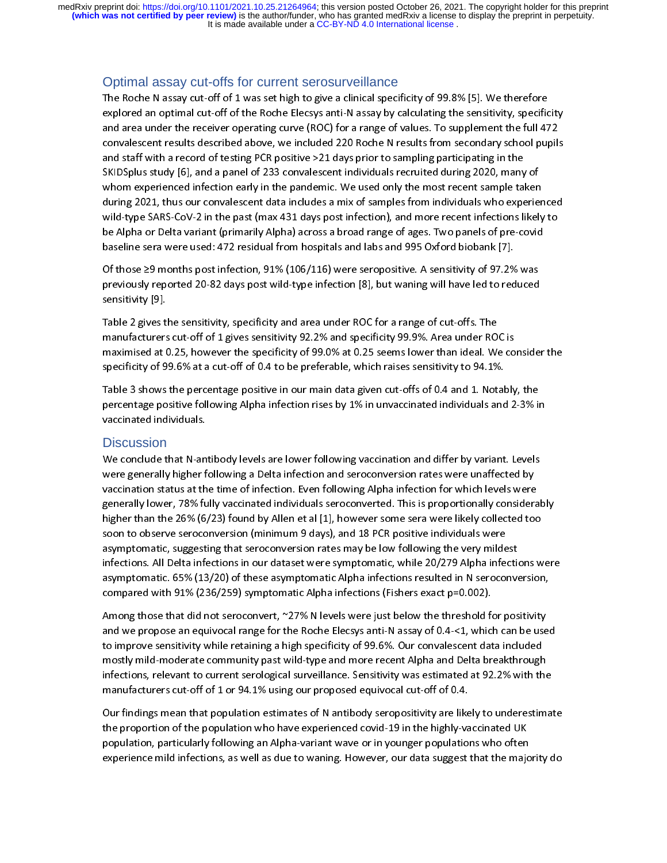It is made available under a CC-BY-ND 4.0 International license. **(which was not certified by peer review)** is the author/funder, who has granted medRxiv a license to display the preprint in perpetuity. medRxiv preprint doi: [https://doi.org/10.1101/2021.10.25.21264964;](https://doi.org/10.1101/2021.10.25.21264964) this version posted October 26, 2021. The copyright holder for this preprint

## Optimal assay cut-offs for current serosurveillance

explored an optimal cut-off of the Roche Elecsys anti-N assay by calculating the sensitivity, specific<br>and area under the receiver operating curve (ROC) for a range of values. To supplement the full 47<br>convalescent results and area under the receiver operating curve (ROC) for a range of values. To supplement the full 472<br>convalescent results described above, we included 220 Roche N results from secondary school pupils<br>and staff with a record and a staff with a record of testing PCR positive >21 days prior to sampling participating in the<br>sKIDSplus study [6], and a panel of 233 convalescent individuals recruited during 2020, many of<br>whom experienced infection e and staff with a record of testing PCR positive >21 days prior to sampling participating in the<br>SKIDSplus study [6], and a panel of 233 convalescent individuals recruited during 2020, many of<br>whom experienced infection ear SKIDSplus study [6], and a panel of 233 convalescent individuals recruited during 2020, many<br>whom experienced infection early in the pandemic. We used only the most recent sample ta<br>during 2021, thus our convalescent data STREET STATE STATE STATE INTERTMENT TO USE ONLY THE PROTHER INTO A paint of the most recent sample taken<br>during 2021, thus our convalescent data includes a mix of samples from individuals who experie<br>wild-type SARS-CoV-2 i during 2021, thus our convalescent data includes a mix of samples from individuals who experient wild-type SARS-CoV-2 in the past (max 431 days post infection), and more recent infections likely be Alpha or Delta variant ( wild-type SARS-CoV-2 in the past (max 431 days post infection), and more recent infections likely to<br>be Alpha or Delta variant (primarily Alpha) across a broad range of ages. Two panels of pre-covid<br>baseline sera were used

when type states are used: A72 residual from hospitals and labs and 995 Oxford biobank [7].<br>
De Alpha or Delta variant (primarily Alpha) across a broad range of ages. Two panels of pre-covid<br>
Deserting Sections likely to t baseline sera were used: 472 residual from hospitals and labs and 995 Oxford biobank [7].<br>Of those  $\geq$ 9 months post infection, 91% (106/116) were seropositive. A sensitivity of 97.2% was<br>previously reported 20-82 days p

Of those  $\geq$ 9 months post infection, 91% (106/116) were seropositive. A sensitivity of 97.2%<br>previously reported 20-82 days post wild-type infection [8], but waning will have led to red<br>sensitivity [9].<br>Table 2 gives th Previously reported 20-82 days post wild-type infection [8], but waning will have led to reduced<br>sensitivity [9].<br>Table 2 gives the sensitivity, specificity and area under ROC for a range of cut-offs. The<br>manufacturers cut previously reported 20-82 previously reported by previously removed (19), when there is a constituty [9].<br>Table 2 gives the sensitivity, specificity and area under ROC for a range of cut-offs. The<br>manufacturers cut-off of Table 2 gives the<br>Table 2 gives the<br>manufacturers<br>maximised at 0<br>Table 3 shows<br>percentage po The sensitivity 32.2% and specificity 99.9%. Area under RO<br>maximised at 0.25, however the specificity of 99.0% at 0.25 seems lower than ideal. We<br>specificity of 99.6% at a cut-off of 0.4 to be preferable, which raises sens

maximised at 0.25, however the specificity of 99.0% at 0.25 seems lower than ideal. We cospecificity of 99.6% at a cut-off of 0.4 to be preferable, which raises sensitivity to 94.1%.<br>Table 3 shows the percentage positive i specificity of 99.6% at a cut-off of 0.4 to be preferable, which raises sensitivity to 94.1%.<br>Table 3 shows the percentage positive in our main data given cut-offs of 0.4 and 1. Notably, the<br>percentage positive following A specificity of 99.6% and 1. Notal percentage positive in our main data given cut-offs of 0.4 and 1. Notal percentage positive following Alpha infection rises by 1% in unvaccinated individuals and vaccinated individuals.<br>Di

#### **Discussion**

Table 3 shows the percentage positive following Alpha infection rises by 1% in unvaccinated individuals and 2-3% in<br>vaccinated individuals.<br>Discussion<br>We conclude that N-antibody levels are lower following vaccination and percentated individuals.<br>
Discussion<br>
We conclude that N-antibody levels are lower following vaccination and differ by variant. Levels<br>
were generally higher following a Delta infection and seroconversion rates were unaffe Discussion<br>We conclude that N-an<br>were generally higher f<br>vaccination status at th<br>generally lower, 78% fu<br>higher than the 26% (6,<br>soon to observe seroco Were generally higher following a Delta infection and seroconversion rates were unaffected by<br>vaccination status at the time of infection. Even following Alpha infection for which levels were<br>generally lower, 78% fully vac waccination status at the time of infection. Even following Alpha infection for which levels were<br>generally lower, 78% fully vaccinated individuals seroconverted. This is proportionally considerating<br>higher than the 26% (6 generally lower, 78% fully vaccinated individuals seroconverted. This is proportionally considera<br>higher than the 26% (6/23) found by Allen et al [1], however some sera were likely collected toc<br>soon to observe seroconvers bigher than the 26% (6/23) found by Allen et al [1], however some sera were likely collected too<br>soon to observe seroconversion (minimum 9 days), and 18 PCR positive individuals were<br>asymptomatic, suggesting that seroconve mantation 2006 (figure state), interestingly, and 18 PCR positive individuals were<br>soon to observe seroconversion (minimum 9 days), and 18 PCR positive individuals were<br>asymptomatic, suggesting that seroconversion rates ma symptomatic, suggesting that seroconversion rates may be low following the very milde<br>infections. All Delta infections in our dataset were symptomatic, while 20/279 Alpha infec<br>asymptomatic. 65% (13/20) of these asymptomat

asymptomatic, suggesting that sin our dataset were symptomatic, while 20/279 Alpha infections. All Delta infections in our dataset were symptomatic, while 20/279 Alpha infections asymptomatic. 65% (13/20) of these asymptom infections. All 13/20) of these asymptomatic Alpha infections resulted in N seroconversion,<br>compared with 91% (236/259) symptomatic Alpha infections (Fishers exact p=0.002).<br>Among those that did not seroconvert, ~27% N lev compared with 91% (236/259) symptomatic Alpha infections (Fishers exact p=0.002).<br>Among those that did not seroconvert, ~27% N levels were just below the threshold for positivity<br>and we propose an equivocal range for the Among those that did not seroconvert, ~27% N levels were just below the threshold for and we propose an equivocal range for the Roche Elecsys anti-N assay of 0.4 -<1, which infections esensitivity while retaining a high sp Among the propose an equivocal range for the Roche Elecsys anti-N assay of 0.4-<1, which can be use<br>to improve sensitivity while retaining a high specificity of 99.6%. Our convalescent data included<br>mostly mild-moderate co to improve sensitivity while retaining a high specificity of 99.6%. Our convalescent data included<br>mostly mild-moderate community past wild-type and more recent Alpha and Delta breakthrough<br>infections, relevant to current

mostly mild-moderate community past wild-type and more recent Alpha and Delta breakthrough<br>infections, relevant to current serological surveillance. Sensitivity was estimated at 92.2% with th<br>manufacturers cut-off of 1 or most mild-moderate community past will applicate the semi-treated and 22.2% with the<br>manufacturers cut-off of 1 or 94.1% using our proposed equivocal cut-off of 0.4.<br>Our findings mean that population estimates of N antibod infecturers cut-off of 1 or 94.1% using our proposed equivocal cut-off of 0.4.<br>Our findings mean that population estimates of N antibody seropositivity are likely to underestimate<br>the proportion of the population who have Our findings mean that population estimates of N antibody seropositivity are like<br>the proportion of the population who have experienced covid-19 in the highly-va<br>population, particularly following an Alpha-variant wave or The proportion of the population who have experienced covid-19 in the highly-vaccinated UK<br>population, particularly following an Alpha-variant wave or in younger populations who often<br>experience mild infections, as well as the proportion of the proportion of the proportion of the proportion of population, particularly following an Alpha-variant wave or in younger populations who often experience mild infections, as well as due to waning. How experience mild infections, as well as due to waning. However, our data suggest that the major experience mild infections, as well as due to waning. However, our data suggest that the major experience experience mild infections, as well as due to waning. However, our data suggest that the majority do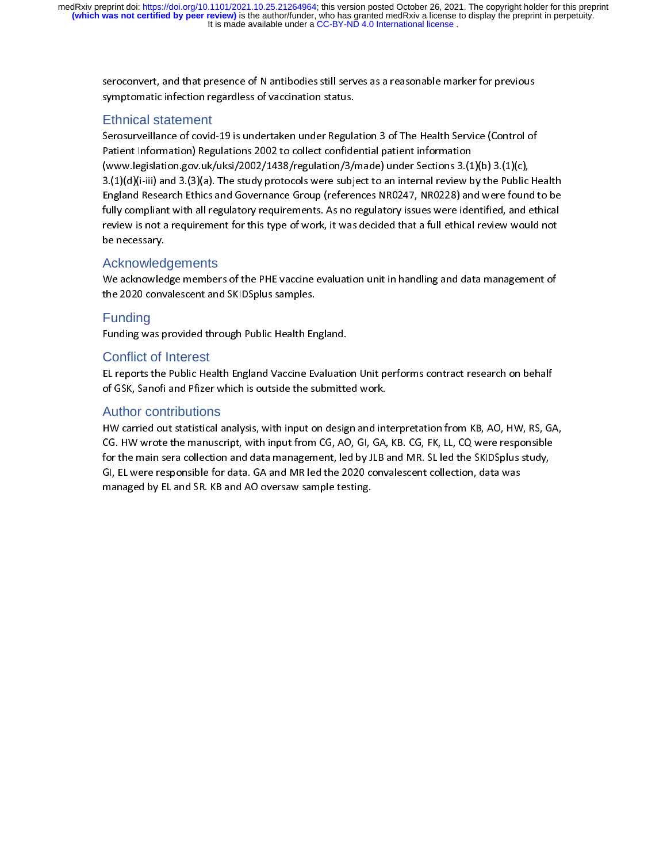It is made available under a CC-BY-ND 4.0 International license. medRxiv preprint doi: [https://doi.org/10.1101/2021.10.25.21264964;](https://doi.org/10.1101/2021.10.25.21264964) this version posted October 26, 2021. The copyright holder for this preprint<br>(which was not certified by peer review) is the author/funder, who has granted

## Ethnical statement

symptomatic infection regardless of vaccination status.<br>
Ethnical statement<br>
Serosurveillance of covid-19 is undertaken under Regulation 3 of The Health Service (Control of<br>
Patient Information) Regulations 2002 to collect Finical statement<br>Serosurveillance of covid-19 is undertaken under Regular<br>Patient Information) Regulations 2002 to collect confide<br>(www.legislation.gov.uk/uksi/2002/1438/regulation/3/1<br>3.(1)(d)(i-iii) and 3.(3)(a). The st Patient Information) Regulations 2002 to collect confidential patient information<br>(www.legislation.gov.uk/uksi/2002/1438/regulation/3/made) under Sections 3.(1)(b) 3.(1)(c),<br>3.(1)(d)(i-iii) and 3.(3)(a). The study protocol (www.legislation.gov.uk/uksi/2002/1438/regulation/3/made) under Sections 3.(1<br>3.(1)(d)(i-iii) and 3.(3)(a). The study protocols were subject to an internal review b<br>England Research Ethics and Governance Group (references  $(3.1)(d)(i-iii)$  and  $(3.3)(a)$ . The study protocols were subject to an internal review by the Public<br>England Research Ethics and Governance Group (references NR0247, NR0228) and were found<br>fully compliant with all regulatory 3.(1)(view my and 3.(1)(view the study percent of complete to an internal register of complete to and Governance Group (references NR0247, NR0228) and were found to be fully compliant with all regulatory requirements. As n England Research Entity and England Research Ethics and Government Cross and Research Ethical Review is not a requirement for this type of work, it was decided that a full ethical review would not be necessary.<br>Acknowledge fully complement with all regulatory requirement for this type of work, it was decided that a full ethical review would not<br>be necessary.<br>Acknowledgements<br>We acknowledge members of the PHE vaccine evaluation unit in handli

## Acknowledgements

review is not a requirement for this type of work, it was decided that a full ethical result and the<br>decision of the acknowledge members of the PHE vaccine evaluation unit in handling and data management of<br>the 2020 conval Acknowled<br>
We acknowled<br>
the 2020 conv<br>
Funding<br>
Funding was p<br>
Conflict of I

## **Funding**

## Conflict of Interest

We acknowledge members of the PHE vacantists of the Manusing and the Management of the PHE vaccine evaluation<br>Punding vacant rough Public Health England.<br>Conflict of Interest<br>EL reports the Public Health England Vaccine Ev Funding<br>Funding was provided through Public Health En<br>Conflict of Interest<br>EL reports the Public Health England Vaccine Ev<br>of GSK, Sanofi and Pfizer which is outside the su<br>Author contributions

## Author contributions

Funding was procedured through Canadian Pugnelian Pugnelian<br>Funding Public Health England Vaccine Evaluation<br>of GSK, Sanofi and Pfizer which is outside the submitte<br>Author contributions<br>HW carried out statistical analysis, of GSK, Sanofi and Pfizer which is outside the submitted work.<br>Author contributions<br>HW carried out statistical analysis, with input on design and interpretation from KB, AO, HW, RS, GJ<br>CG. HW wrote the manuscript, with inp Author contributions<br>HW carried out statistical analysis, with input on design and int<br>CG. HW wrote the manuscript, with input from CG, AO, GI, GA,<br>for the main sera collection and data management, led by JLB a<br>GI, EL were CG. HW wrote the manuscript, with input from CG, AO, GI, GA, KB. CG, FK, LL, CQ were responsible<br>for the main sera collection and data management, led by JLB and MR. SL led the SKIDSplus study,<br>GI, EL were responsible for for the main sera collection and data management, led by JLB and MR. SL led the SKIDSplus study,<br>GI, EL were responsible for data. GA and MR led the 2020 convalescent collection, data was<br>managed by EL and SR. KB and AO ov GI, EL were responsible for data. GA and MR led the 2020 convalescent collection, data was<br>managed by EL and SR. KB and AO oversaw sample testing.<br>Managed by EL and SR. KB and AO oversaw sample testing. GI, EL and SR. KB and AO oversaw sample testing.<br>
The 2020 convention, data was also sample testing, data was also was also was also was also was also seen to be 2020 convented to 2020 convention, and the 2020 convention, managed by EL and SR. KB and AO oversaw sample testing.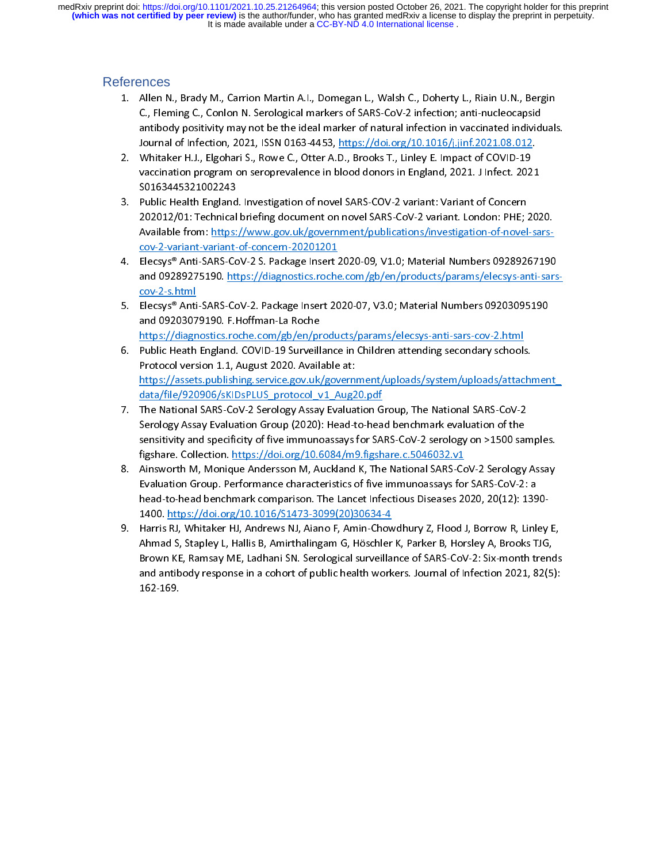It is made available under a CC-BY-ND 4.0 International license. **(which was not certified by peer review)** is the author/funder, who has granted medRxiv a license to display the preprint in perpetuity. medRxiv preprint doi: [https://doi.org/10.1101/2021.10.25.21264964;](https://doi.org/10.1101/2021.10.25.21264964) this version posted October 26, 2021. The copyright holder for this preprint

## References

- C., Fleming C., Conlon N. Serological markers of SARS-CoV-2 infection; anti-nucleocapsid<br>antibody positivity may not be the ideal marker of natural infection in vaccinated individuals<br>Journal of Infection, 2021, ISSN 0163
- antibody positivity may not be the ideal marker of natural infection in vaccinated individ<br>Journal of Infection, 2021, ISSN 0163-4453, <u>https://doi.org/10.1016/j.jinf.2021.08.012</u>.<br>Whitaker H.J., Elgohari S., Rowe C., Otte
- antimum of Infection, 2021, ISSN 0163-4453, https://doi.org/10.1016/j.jinf.2021.08.012.<br>
Whitaker H.J., Elgohari S., Rowe C., Otter A.D., Brooks T., Linley E. Impact of COVID-19<br>
vaccination program on seroprevalence in bl Whitaker H.J., Elgohari S., Rowe C., Otter A.D., Brooks T., Linley E. Impact of COVID-19<br>vaccination program on seroprevalence in blood donors in England, 2021. J Infect. 2021<br>S0163445321002243<br>Public Health England. Inves 2. Whitehearth Program on seroprevalence in blood donors in England, 2021. J Infect. 202<br>20163445321002243<br>3. Public Health England. Investigation of novel SARS-COV-2 variant: Variant of Concern<br>202012/01: Technical briefi vaccination program on series and the server in the server in the series of the series and public Health England. Investigation of novel SARS-COV-2 variant: Variant of Concern<br>202012/01: Technical briefing document on nove Public Health England<br>202012/01: Technical<br>Available from: <u>https:</u><br>cov-2-variant-variant-<br>Elecsys® Anti-SARS-Cc<br>and 09289275190. htt<br>cov-2-s.html 202012/01: Technical briefing document on novel SARS-CoV-2 variant. London: PHE; <br>
Available from: https://www.gov.uk/government/publications/investigation-of-novel<br>
<u>cov-2-variant-variant-of-concern-20201201</u><br>
4. Elecsys®
- 202012012<br>2021-2021 Available from: https://www.gov.uk/government/publications/investigation-of-novel-sars-<br>2020-2-variant-variant-of-concern-20201201<br>2020-20308-20201201<br>2020202020201200.https://diagnostics.roche.com/gb/e Elecsys® Anti-SARS-CoV-2 S. Package Insert 2<br>and 09289275190. https://diagnostics.roche<br>cov-2-s.html<br>Elecsys® Anti-SARS-CoV-2. Package Insert 2C<br>and 09203079190. F.Hoffman-La Roche<br>https://diagnostics.roche.com/gb/en/produ
- 
- https://diagnostics.roche.com/gb/en/products/params/elecsys-anti-sars-cov-2.html<br>6. Public Heath England. COVID-19 Surveillance in Children attending secondary schools. and 09289275190. https://diagnostics.roche.com/gb/en/products/params/elecsys-anti-sars<br>
cov-2-s.html<br>
5. Elecsys® Anti-SARS-CoV-2. Package Insert 2020-07, V3.0; Material Numbers 09203095190<br>
and 09203079190. F.Hoffman-La https://assets.publishing.service.gov.uk/government/uploads/system/uploads/attachment\_<br>data/file/920906/sKIDsPLUS\_protocol\_v1\_Aug20.pdf Elecsys® Anti<br>Elecsys® Anti<br>and 0920307<br>https://diagn<br>Public Heath<br>Protocol vers<br>data/file/920 and 09203079190. F.Hoffman-La Roche<br>
https://diagnostics.roche.com/gb/en/products/params/elecsys-anti-sars-cov-2.html<br>
6. Public Heath England. COVID-19 Surveillance in Children attending secondary schools.<br>
Protocol versi and 2020<br>https://diagnostics.roche.com/gb/en/pr<br>Public Heath England. COVID-19 Surveill<br>Protocol version 1.1, August 2020. Availa<br>https://assets.publishing.service.gov.uk,<br>data/file/920906/sKIDsPLUS\_protocol\_v<br>The National Public Heath England. COVID-19 Surveillance in Children attending secondary schools<br>Protocol version 1.1, August 2020. Available at:<br>https://assets.publishing.service.gov.uk/government/uploads/system/uploads/attac<br>data/fil
- Protocol version 1.1, August 2020. Available at:<br>
https://assets.publishing.service.gov.uk/government/uploads/system/uploads/attachil<br>
data/file/920906/sKIDsPLUS\_protocol\_v1\_Aug20.pdf<br>
7. The National SARS-CoV-2 Serology A Protocol version 1.1, August 2020<br>
https://assets.publishing.service.gov.uk/govern<br>
data/file/920906/sKIDsPLUS\_protocol\_v1\_Aug2<br>
The National SARS-CoV-2 Serology Assay Evalua<br>
Serology Assay Evaluation Group (2020): Head-t https://data/file/920906/sKIDsPLUS\_protocol\_v1\_Aug20.pdf<br>The National SARS-CoV-2 Serology Assay Evaluation Group, The National SARS-CoV-2<br>Serology Assay Evaluation Group (2020): Head-to-head benchmark evaluation of the<br>sen The National SARS-CoV-2 Serology Assay Evaluation G<br>Serology Assay Evaluation Group (2020): Head-to-hea<br>sensitivity and specificity of five immunoassays for SA<br>figshare. Collection. https://doi.org/10.6084/m9.figsh<br>Ainswor
- Franchillary Assay Evaluation Group (2020): Head-to-head benchmark evaluation of the<br>sensitivity and specificity of five immunoassays for SARS-CoV-2 serology on >1500 sar<br>figshare. Collection. https://doi.org/10.6084/m9.fi sensitivity and specificity of five immunoassays for SARS-CoV-2 serology on >1500 sair<br>figshare. Collection. https://doi.org/10.6084/m9.figshare.c.5046032.v1<br>Ainsworth M, Monique Andersson M, Auckland K, The National SARSfigshare. Collection. https://doi.org/10.6084/m9.figshare.c.5046032.v1<br>Ainsworth M, Monique Andersson M, Auckland K, The National SARS-CoV-2 Serology Assay<br>Evaluation Group. Performance characteristics of five immunoassays Ainsworth M, Monique Andersson M, Auckland K, The National SARS-Co<br>Evaluation Group. Performance characteristics of five immunoassays for<br>head-to-head benchmark comparison. The Lancet Infectious Diseases 24<br>1400. https://d
- Evaluation Group. Performance characteristics of five immunoassays for SARS-CoV-2: a<br>head-to-head benchmark comparison. The Lancet Infectious Diseases 2020, 20(12): 1390-<br>1400. https://doi.org/10.1016/S1473-3099(20)30634-4 Evaluation Groupland Mead-to-head benchmark comparison. The Lancet Infectious Diseases 2020, 20(12): 139<br>1400. https://doi.org/10.1016/S1473-3099(20)30634-4<br>Harris RJ, Whitaker HJ, Andrews NJ, Aiano F, Amin-Chowdhury Z, Fl 1400. https://doi.org/10.1016/S1473-3099(20)30634-4<br>Harris RJ, Whitaker HJ, Andrews NJ, Aiano F, Amin-Chowdhury Z, Flood J, Borrow R, Linley<br>Ahmad S, Stapley L, Hallis B, Amirthalingam G, Höschler K, Parker B, Horsley A, B Harris RJ, Whitaker HJ, Andrews NJ, Aiano F, Amin-Chow<br>Ahmad S, Stapley L, Hallis B, Amirthalingam G, Höschler<br>Brown KE, Ramsay ME, Ladhani SN. Serological surveilla<br>and antibody response in a cohort of public health work<br> Ahmad S, Stapley L, Hallis B, Amirthalingam G, Höschler K, Parker B, Horsley A, Brooks TJG,<br>Brown KE, Ramsay ME, Ladhani SN. Serological surveillance of SARS-CoV-2: Six-month trends<br>and antibody response in a cohort of pub Ahmad S, Stapley J, Mahmad S, Standard S, Norther M, Parker B, Norther, M, Joseph May,<br>Brown KE, Ramsay ME, Ladhani SN. Serological surveillance of SARS-CoV-2: Six-month trend<br>and antibody response in a cohort of public he Brown Ke, Ramsay Manual Strandard Control Control and antibody response in a cohort of public health workers. Journal of Infection 2021, 82(5):<br>162-169. and antibody response in a cohort of public health workers. Journal of Infection 2021,  $\frac{1}{2}$ <br>162-169.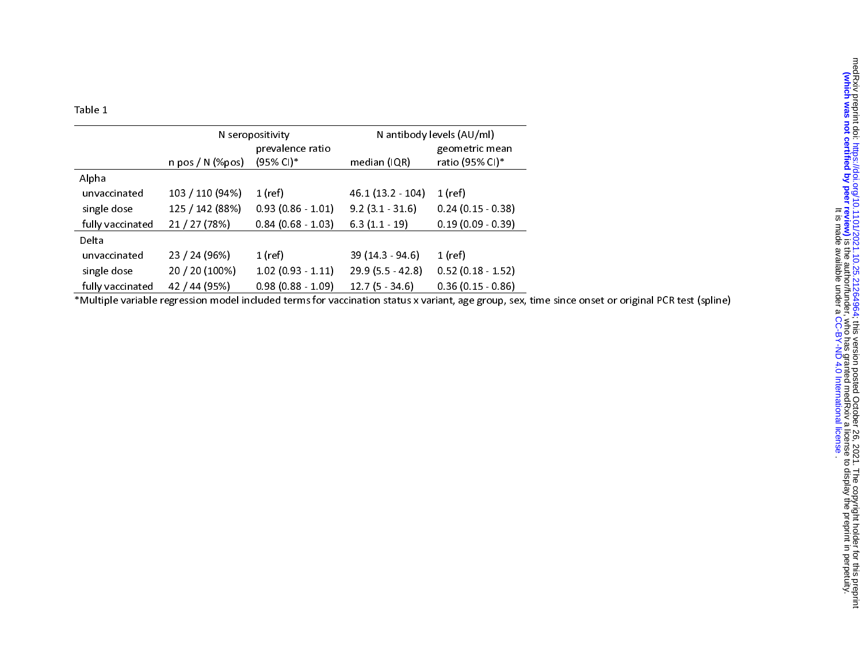Table 1

|                  | N seropositivity   |                     | N antibody levels (AU/ml) |                     |
|------------------|--------------------|---------------------|---------------------------|---------------------|
|                  |                    | prevalence ratio    |                           | geometric mean      |
|                  | $n$ pos / N (%pos) | (95% CI)*           | median (IQR)              | ratio (95% CI)*     |
| Alpha            |                    |                     |                           |                     |
| unvaccinated     | 103 / 110 (94%)    | $1$ (ref)           | 46.1 (13.2 - 104)         | 1 (ref)             |
| single dose      | 125 / 142 (88%)    | $0.93(0.86 - 1.01)$ | $9.2(3.1 - 31.6)$         | $0.24(0.15 - 0.38)$ |
| fully vaccinated | 21 / 27 (78%)      | $0.84(0.68 - 1.03)$ | $6.3(1.1 - 19)$           | $0.19(0.09 - 0.39)$ |
| Delta            |                    |                     |                           |                     |
| unvaccinated     | 23 / 24 (96%)      | $1$ (ref)           | 39 (14.3 - 94.6)          | $1$ (ref)           |
| single dose      | 20 / 20 (100%)     | $1.02(0.93 - 1.11)$ | $29.9(5.5 - 42.8)$        | $0.52(0.18 - 1.52)$ |
| fully vaccinated | 42 / 44 (95%)      | $0.98(0.88 - 1.09)$ | $12.7(5 - 34.6)$          | $0.36(0.15 - 0.86)$ |

\*Multiple variable regression model included terms for vaccination status x variant, age group, sex, time since onset or original PCR test (spline)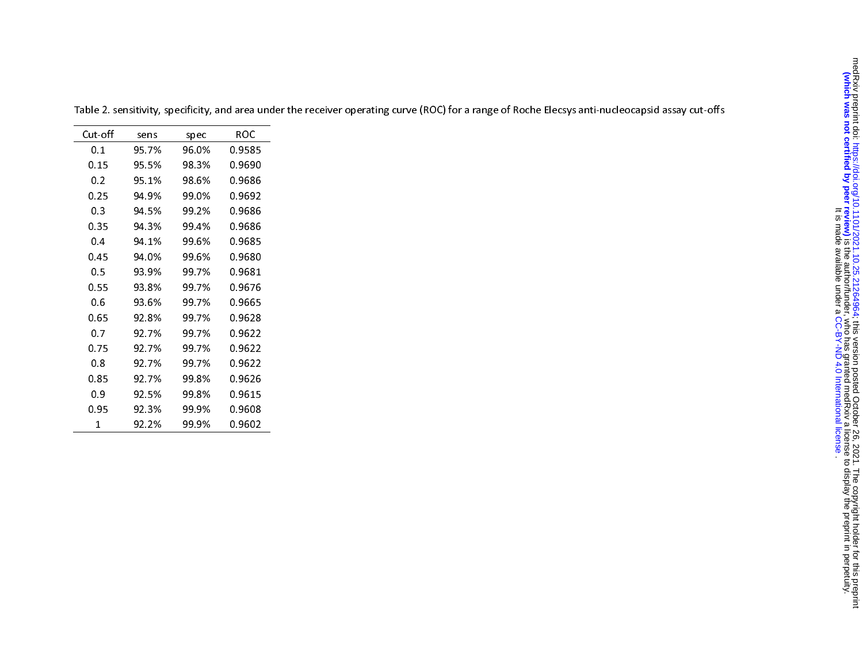| Cut-off | sens  | spec  | ROC    |
|---------|-------|-------|--------|
| 0.1     | 95 7% | 96.0% | 0.9585 |
| 0.15    | 95.5% | 98.3% | 0.9690 |
| 0.2     | 95.1% | 98.6% | 0.9686 |
| 0.25    | 94 9% | 99.0% | 0.9692 |
| 0.3     | 94 5% | 99.2% | 0.9686 |
| 0.35    | 94.3% | 99.4% | 0.9686 |
| 0.4     | 94 1% | 99.6% | 0.9685 |
| 0.45    | 94.0% | 99.6% | 0.9680 |
| 0.5     | 93.9% | 99.7% | 0.9681 |
| 0.55    | 93.8% | 99 7% | 0.9676 |
| 0.6     | 93.6% | 99.7% | 0.9665 |
| 0.65    | 92.8% | 99.7% | 0.9628 |
| 0.7     | 92.7% | 99.7% | 0.9622 |
| 0.75    | 92.7% | 99.7% | 0.9622 |
| 0.8     | 92 7% | 99.7% | 0.9622 |
| 0.85    | 92.7% | 99.8% | 0.9626 |
| 0.9     | 92.5% | 99.8% | 0.9615 |
| 0.95    | 92.3% | 99.9% | 0.9608 |
| 1       | 92.2% | 99.9% | 0.9602 |

Table 2. sensitivity, specificity, and area under the receiver operating curve (ROC) for a range of Roche Elecsys anti-nucleocapsid assay cut-offs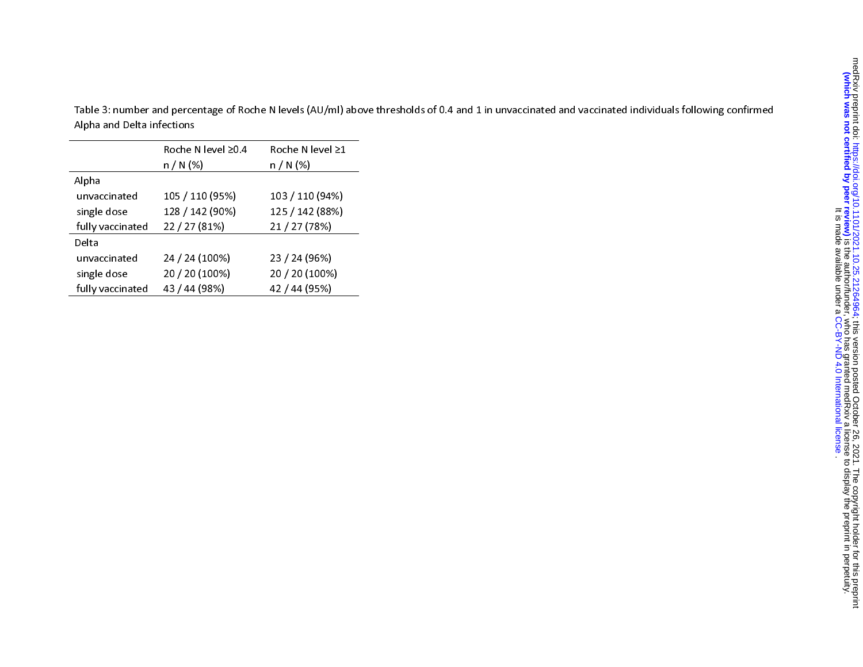Table 3: number and percentage of Roche N levels (AU/ml) above thresholds of 0.4 and 1 in unvaccinated and vaccinated individuals following confirmed Alpha and Delta infections

|                  | Roche N level ≥0.4<br>$n / N$ (%) | Roche N level ≥1<br>$n / N$ (%) |
|------------------|-----------------------------------|---------------------------------|
| Alpha            |                                   |                                 |
| unvaccinated     | 105 / 110 (95%)                   | 103 / 110 (94%)                 |
| single dose      | 128 / 142 (90%)                   | 125 / 142 (88%)                 |
| fully vaccinated | 22 / 27 (81%)                     | 21 / 27 (78%)                   |
| Delta            |                                   |                                 |
| unvaccinated     | 24 / 24 (100%)                    | 23 / 24 (96%)                   |
| single dose      | 20 / 20 (100%)                    | 20 / 20 (100%)                  |
| fully vaccinated | 43 / 44 (98%)                     | 42 / 44 (95%)                   |